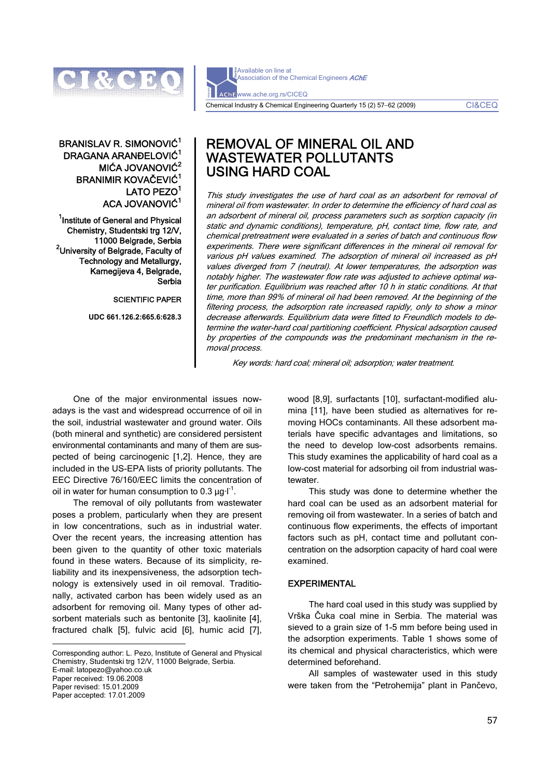

Available on line at Association of the Chemical Engineers AChE www.ache.org.rs/CICEQ Chemical Industry & Chemical Engineering Quarterly 15 (2) 57−62 (2009) CI&CEQ

# BRANISLAV R. SIMONOVIĆ<sup>1</sup> DRAGANA ARANĐELOVIĆ<sup>1</sup> MIĆA JOVANOVIĆ<sup>2</sup> BRANIMIR KOVAČEVIĆ<sup>1</sup> LATO PEZO<sup>1</sup> ACA JOVANOVIĆ<sup>1</sup>

<sup>1</sup> Institute of General and Physical Chemistry, Studentski trg 12/V, 11000 Belgrade, Serbia 2 University of Belgrade, Faculty of Technology and Metallurgy, Karnegijeva 4, Belgrade, Serbia

SCIENTIFIC PAPER

**UDC 661.126.2:665.6:628.3** 

# REMOVAL OF MINERAL OIL AND WASTEWATER POLLUTANTS USING HARD COAL

This study investigates the use of hard coal as an adsorbent for removal of mineral oil from wastewater. In order to determine the efficiency of hard coal as an adsorbent of mineral oil, process parameters such as sorption capacity (in static and dynamic conditions), temperature, pH, contact time, flow rate, and chemical pretreatment were evaluated in a series of batch and continuous flow experiments. There were significant differences in the mineral oil removal for various pH values examined. The adsorption of mineral oil increased as pH values diverged from 7 (neutral). At lower temperatures, the adsorption was notably higher. The wastewater flow rate was adjusted to achieve optimal water purification. Equilibrium was reached after 10 h in static conditions. At that time, more than 99% of mineral oil had been removed. At the beginning of the filtering process, the adsorption rate increased rapidly, only to show a minor decrease afterwards. Equilibrium data were fitted to Freundlich models to determine the water-hard coal partitioning coefficient. Physical adsorption caused by properties of the compounds was the predominant mechanism in the removal process.

Key words: hard coal; mineral oil; adsorption; water treatment.

One of the major environmental issues nowadays is the vast and widespread occurrence of oil in the soil, industrial wastewater and ground water. Oils (both mineral and synthetic) are considered persistent environmental contaminants and many of them are suspected of being carcinogenic [1,2]. Hence, they are included in the US-EPA lists of priority pollutants. The EEC Directive 76/160/EEC limits the concentration of oil in water for human consumption to  $0.3 \mu q l^{-1}$ .

The removal of oily pollutants from wastewater poses a problem, particularly when they are present in low concentrations, such as in industrial water. Over the recent years, the increasing attention has been given to the quantity of other toxic materials found in these waters. Because of its simplicity, reliability and its inexpensiveness, the adsorption technology is extensively used in oil removal. Traditionally, activated carbon has been widely used as an adsorbent for removing oil. Many types of other adsorbent materials such as bentonite [3], kaolinite [4], fractured chalk [5], fulvic acid [6], humic acid [7],

Corresponding author: L. Pezo, Institute of General and Physical Chemistry, Studentski trg 12/V, 11000 Belgrade, Serbia. E-mail: latopezo@yahoo.co.uk Paper received: 19.06.2008 Paper revised: 15.01.2009 Paper accepted: 17.01.2009

 $\overline{a}$ 

wood [8,9], surfactants [10], surfactant-modified alumina [11], have been studied as alternatives for removing HOCs contaminants. All these adsorbent materials have specific advantages and limitations, so the need to develop low-cost adsorbents remains. This study examines the applicability of hard coal as a low-cost material for adsorbing oil from industrial wastewater.

This study was done to determine whether the hard coal can be used as an adsorbent material for removing oil from wastewater. In a series of batch and continuous flow experiments, the effects of important factors such as pH, contact time and pollutant concentration on the adsorption capacity of hard coal were examined.

# EXPERIMENTAL

The hard coal used in this study was supplied by Vrška Čuka coal mine in Serbia. The material was sieved to a grain size of 1-5 mm before being used in the adsorption experiments. Table 1 shows some of its chemical and physical characteristics, which were determined beforehand.

All samples of wastewater used in this study were taken from the "Petrohemija" plant in Pančevo,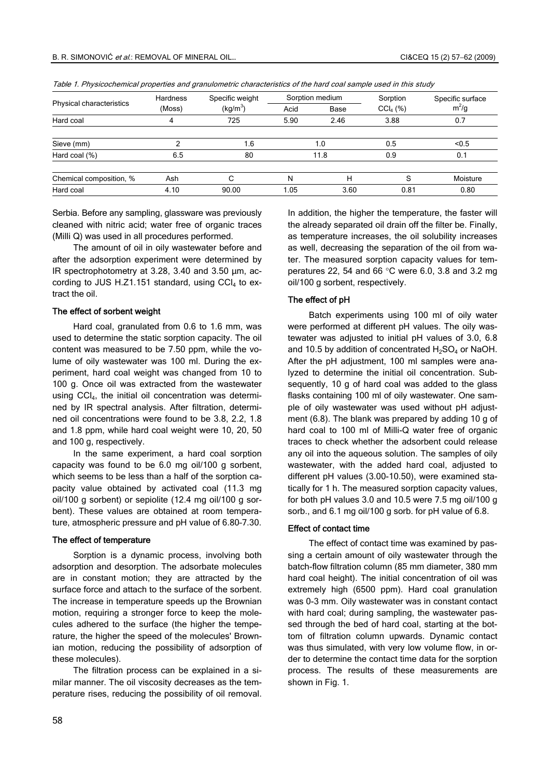| Physical characteristics | <b>Hardness</b><br>(Moss) | Specific weight<br>(kg/m <sup>3</sup> ) | Sorption medium |      | Sorption             | Specific surface |
|--------------------------|---------------------------|-----------------------------------------|-----------------|------|----------------------|------------------|
|                          |                           |                                         | Acid            | Base | CCl <sub>4</sub> (%) | $m^2/g$          |
| Hard coal                | 4                         | 725                                     | 5.90            | 2.46 | 3.88                 | 0.7              |
| Sieve (mm)               |                           | .6 <sub>1</sub>                         |                 | 1.0  | 0.5                  | < 0.5            |
| Hard coal (%)            | 6.5                       | 80                                      |                 | 11.8 | 0.9                  | 0.1              |
| Chemical composition, %  | Ash                       | ⌒                                       | N               | н    | S                    | Moisture         |
| Hard coal                | 4.10                      | 90.00                                   | 1.05            | 3.60 | 0.81                 | 0.80             |

Table 1. Physicochemical properties and granulometric characteristics of the hard coal sample used in this study

Serbia. Before any sampling, glassware was previously cleaned with nitric acid; water free of organic traces (Milli Q) was used in all procedures performed.

The amount of oil in oily wastewater before and after the adsorption experiment were determined by IR spectrophotometry at 3.28, 3.40 and 3.50 μm, according to JUS H.Z1.151 standard, using  $CCI<sub>4</sub>$  to extract the oil.

#### The effect of sorbent weight

Hard coal, granulated from 0.6 to 1.6 mm, was used to determine the static sorption capacity. The oil content was measured to be 7.50 ppm, while the volume of oily wastewater was 100 ml. During the experiment, hard coal weight was changed from 10 to 100 g. Once oil was extracted from the wastewater using CCI<sub>4</sub>, the initial oil concentration was determined by IR spectral analysis. After filtration, determined oil concentrations were found to be 3.8, 2.2, 1.8 and 1.8 ppm, while hard coal weight were 10, 20, 50 and 100 g, respectively.

In the same experiment, a hard coal sorption capacity was found to be 6.0 mg oil/100 g sorbent, which seems to be less than a half of the sorption capacity value obtained by activated coal (11.3 mg oil/100 g sorbent) or sepiolite (12.4 mg oil/100 g sorbent). These values are obtained at room temperature, atmospheric pressure and pH value of 6.80–7.30.

#### The effect of temperature

Sorption is a dynamic process, involving both adsorption and desorption. The adsorbate molecules are in constant motion; they are attracted by the surface force and attach to the surface of the sorbent. The increase in temperature speeds up the Brownian motion, requiring a stronger force to keep the molecules adhered to the surface (the higher the temperature, the higher the speed of the molecules' Brownian motion, reducing the possibility of adsorption of these molecules).

The filtration process can be explained in a similar manner. The oil viscosity decreases as the temperature rises, reducing the possibility of oil removal. In addition, the higher the temperature, the faster will the already separated oil drain off the filter be. Finally, as temperature increases, the oil solubility increases as well, decreasing the separation of the oil from water. The measured sorption capacity values for temperatures 22, 54 and 66 °C were 6.0, 3.8 and 3.2 mg oil/100 g sorbent, respectively.

#### The effect of pH

Batch experiments using 100 ml of oily water were performed at different pH values. The oily wastewater was adjusted to initial pH values of 3.0, 6.8 and 10.5 by addition of concentrated  $H_2SO_4$  or NaOH. After the pH adjustment, 100 ml samples were analyzed to determine the initial oil concentration. Subsequently, 10 g of hard coal was added to the glass flasks containing 100 ml of oily wastewater. One sample of oily wastewater was used without pH adjustment (6.8). The blank was prepared by adding 10 g of hard coal to 100 ml of Milli-Q water free of organic traces to check whether the adsorbent could release any oil into the aqueous solution. The samples of oily wastewater, with the added hard coal, adjusted to different pH values (3.00-10.50), were examined statically for 1 h. The measured sorption capacity values, for both pH values 3.0 and 10.5 were 7.5 mg oil/100 g sorb., and 6.1 mg oil/100 g sorb. for pH value of 6.8.

## Effect of contact time

The effect of contact time was examined by passing a certain amount of oily wastewater through the batch-flow filtration column (85 mm diameter, 380 mm hard coal height). The initial concentration of oil was extremely high (6500 ppm). Hard coal granulation was 0-3 mm. Oily wastewater was in constant contact with hard coal; during sampling, the wastewater passed through the bed of hard coal, starting at the bottom of filtration column upwards. Dynamic contact was thus simulated, with very low volume flow, in order to determine the contact time data for the sorption process. The results of these measurements are shown in Fig. 1.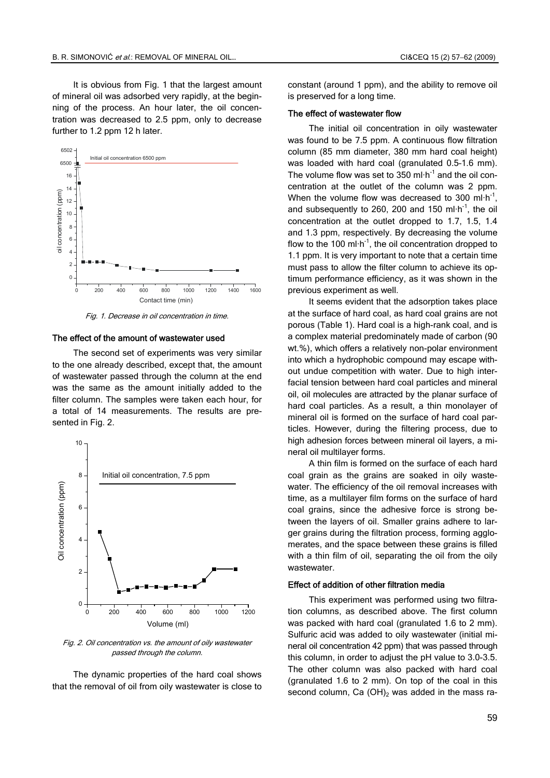It is obvious from Fig. 1 that the largest amount of mineral oil was adsorbed very rapidly, at the beginning of the process. An hour later, the oil concentration was decreased to 2.5 ppm, only to decrease further to 1.2 ppm 12 h later.



Fig. 1. Decrease in oil concentration in time.

## The effect of the amount of wastewater used

The second set of experiments was very similar to the one already described, except that, the amount of wastewater passed through the column at the end was the same as the amount initially added to the filter column. The samples were taken each hour, for a total of 14 measurements. The results are presented in Fig. 2.



Fig. 2. Oil concentration vs. the amount of oily wastewater passed through the column.

The dynamic properties of the hard coal shows that the removal of oil from oily wastewater is close to constant (around 1 ppm), and the ability to remove oil is preserved for a long time.

#### The effect of wastewater flow

The initial oil concentration in oily wastewater was found to be 7.5 ppm. A continuous flow filtration column (85 mm diameter, 380 mm hard coal height) was loaded with hard coal (granulated 0.5–1.6 mm). The volume flow was set to 350 ml $\cdot$ h<sup>-1</sup> and the oil concentration at the outlet of the column was 2 ppm. When the volume flow was decreased to 300 ml $\cdot$ h<sup>-1</sup>, and subsequently to 260, 200 and 150 ml $\cdot$ h<sup>-1</sup>, the oil concentration at the outlet dropped to 1.7, 1.5, 1.4 and 1.3 ppm, respectively. By decreasing the volume flow to the 100 ml $\cdot$ h<sup>-1</sup>, the oil concentration dropped to 1.1 ppm. It is very important to note that a certain time must pass to allow the filter column to achieve its optimum performance efficiency, as it was shown in the previous experiment as well.

It seems evident that the adsorption takes place at the surface of hard coal, as hard coal grains are not porous (Table 1). Hard coal is a high-rank coal, and is a complex material predominately made of carbon (90 wt.%), which offers a relatively non-polar environment into which a hydrophobic compound may escape without undue competition with water. Due to high interfacial tension between hard coal particles and mineral oil, oil molecules are attracted by the planar surface of hard coal particles. As a result, a thin monolayer of mineral oil is formed on the surface of hard coal particles. However, during the filtering process, due to high adhesion forces between mineral oil layers, a mineral oil multilayer forms.

A thin film is formed on the surface of each hard coal grain as the grains are soaked in oily wastewater. The efficiency of the oil removal increases with time, as a multilayer film forms on the surface of hard coal grains, since the adhesive force is strong between the layers of oil. Smaller grains adhere to larger grains during the filtration process, forming agglomerates, and the space between these grains is filled with a thin film of oil, separating the oil from the oily wastewater.

#### Effect of addition of other filtration media

This experiment was performed using two filtration columns, as described above. The first column was packed with hard coal (granulated 1.6 to 2 mm). Sulfuric acid was added to oily wastewater (initial mineral oil concentration 42 ppm) that was passed through this column, in order to adjust the pH value to 3.0-3.5. The other column was also packed with hard coal (granulated 1.6 to 2 mm). On top of the coal in this second column, Ca  $(OH)_2$  was added in the mass ra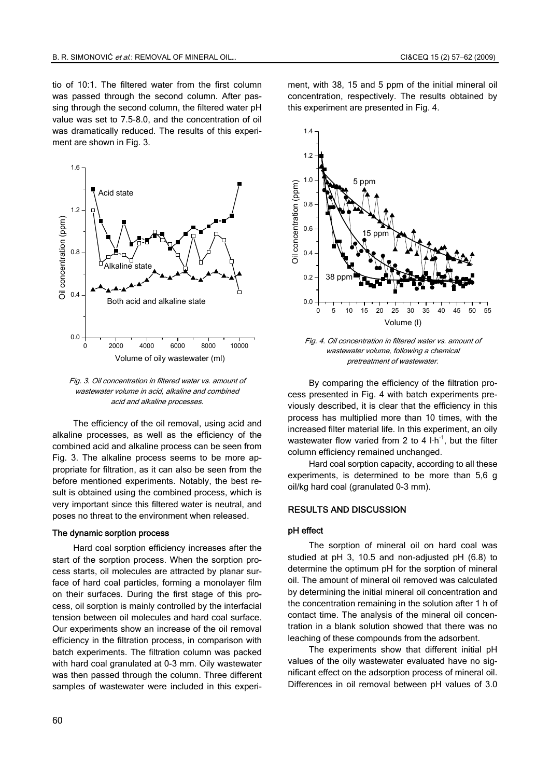tio of 10:1. The filtered water from the first column was passed through the second column. After passing through the second column, the filtered water pH value was set to 7.5-8.0, and the concentration of oil was dramatically reduced. The results of this experiment are shown in Fig. 3.



Fig. 3. Oil concentration in filtered water vs. amount of wastewater volume in acid, alkaline and combined acid and alkaline process<sup>е</sup>s.

The efficiency of the oil removal, using acid and alkaline processes, as well as the efficiency of the combined acid and alkaline process can be seen from Fig. 3. The alkaline process seems to be more appropriate for filtration, as it can also be seen from the before mentioned experiments. Notably, the best result is obtained using the combined process, which is very important since this filtered water is neutral, and poses no threat to the environment when released.

#### The dynamic sorption process

Hard coal sorption efficiency increases after the start of the sorption process. When the sorption process starts, oil molecules are attracted by planar surface of hard coal particles, forming a monolayer film on their surfaces. During the first stage of this process, oil sorption is mainly controlled by the interfacial tension between oil molecules and hard coal surface. Our experiments show an increase of the oil removal efficiency in the filtration process, in comparison with batch experiments. The filtration column was packed with hard coal granulated at 0-3 mm. Oily wastewater was then passed through the column. Three different samples of wastewater were included in this experiment, with 38, 15 and 5 ppm of the initial mineral oil concentration, respectively. The results obtained by this experiment are presented in Fig. 4.



Fig. 4. Oil concentration in filtered water vs. amount of wastewater volume, following a chemical pretreatment of wastewater.

By comparing the efficiency of the filtration process presented in Fig. 4 with batch experiments previously described, it is clear that the efficiency in this process has multiplied more than 10 times, with the increased filter material life. In this experiment, an oily wastewater flow varied from 2 to 4  $\text{I} \cdot \text{h}^{-1}$ , but the filter column efficiency remained unchanged.

Hard coal sorption capacity, according to all these experiments, is determined to be more than 5,6 g oil/kg hard coal (granulated 0-3 mm).

## RESULTS AND DISCUSSION

#### pH effect

The sorption of mineral oil on hard coal was studied at pH 3, 10.5 and non-adjusted pH (6.8) to determine the optimum pH for the sorption of mineral oil. The amount of mineral oil removed was calculated by determining the initial mineral oil concentration and the concentration remaining in the solution after 1 h of contact time. The analysis of the mineral oil concentration in a blank solution showed that there was no leaching of these compounds from the adsorbent.

The experiments show that different initial pH values of the oily wastewater evaluated have no significant effect on the adsorption process of mineral oil. Differences in oil removal between pH values of 3.0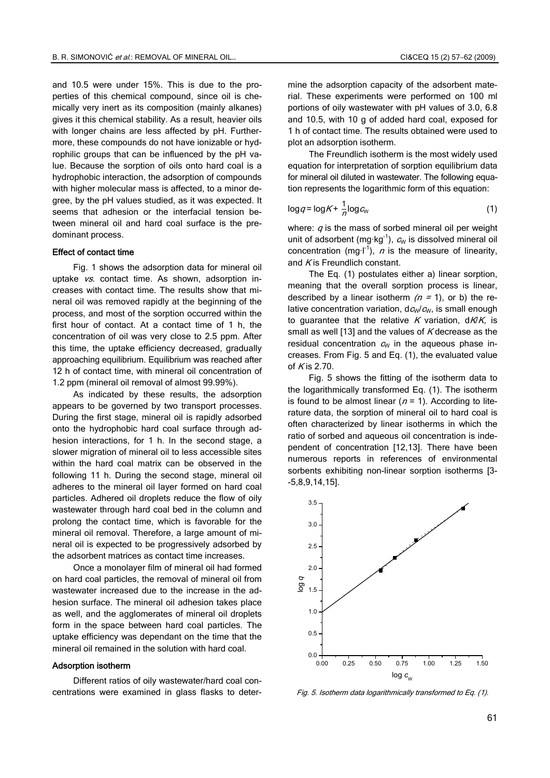and 10.5 were under 15%. This is due to the properties of this chemical compound, since oil is chemically very inert as its composition (mainly alkanes) gives it this chemical stability. As a result, heavier oils with longer chains are less affected by pH. Furthermore, these compounds do not have ionizable or hydrophilic groups that can be influenced by the pH value. Because the sorption of oils onto hard coal is a hydrophobic interaction, the adsorption of compounds with higher molecular mass is affected, to a minor degree, by the pH values studied, as it was expected. It seems that adhesion or the interfacial tension between mineral oil and hard coal surface is the predominant process.

#### Effect of contact time

Fig. 1 shows the adsorption data for mineral oil uptake vs. contact time. As shown, adsorption increases with contact time. The results show that mineral oil was removed rapidly at the beginning of the process, and most of the sorption occurred within the first hour of contact. At a contact time of 1 h, the concentration of oil was very close to 2.5 ppm. After this time, the uptake efficiency decreased, gradually approaching equilibrium. Equilibrium was reached after 12 h of contact time, with mineral oil concentration of 1.2 ppm (mineral oil removal of almost 99.99%).

As indicated by these results, the adsorption appears to be governed by two transport processes. During the first stage, mineral oil is rapidly adsorbed onto the hydrophobic hard coal surface through adhesion interactions, for 1 h. In the second stage, a slower migration of mineral oil to less accessible sites within the hard coal matrix can be observed in the following 11 h. During the second stage, mineral oil adheres to the mineral oil layer formed on hard coal particles. Adhered oil droplets reduce the flow of oily wastewater through hard coal bed in the column and prolong the contact time, which is favorable for the mineral oil removal. Therefore, a large amount of mineral oil is expected to be progressively adsorbed by the adsorbent matrices as contact time increases.

Once a monolayer film of mineral oil had formed on hard coal particles, the removal of mineral oil from wastewater increased due to the increase in the adhesion surface. The mineral oil adhesion takes place as well, and the agglomerates of mineral oil droplets form in the space between hard coal particles. The uptake efficiency was dependant on the time that the mineral oil remained in the solution with hard coal.

#### Adsorption isotherm

Different ratios of oily wastewater/hard coal concentrations were examined in glass flasks to determine the adsorption capacity of the adsorbent material. These experiments were performed on 100 ml portions of oily wastewater with pH values of 3.0, 6.8 and 10.5, with 10 g of added hard coal, exposed for 1 h of contact time. The results obtained were used to plot an adsorption isotherm.

The Freundlich isotherm is the most widely used equation for interpretation of sorption equilibrium data for mineral oil diluted in wastewater. The following equation represents the logarithmic form of this equation:

$$
\log q = \log K + \frac{1}{n} \log c_w \tag{1}
$$

where:  $q$  is the mass of sorbed mineral oil per weight unit of adsorbent (mg·kg<sup>-1</sup>),  $c_w$  is dissolved mineral oil concentration (mg·l<sup>-1</sup>), *n* is the measure of linearity, and  $K$  is Freundlich constant.

The Eq. (1) postulates either a) linear sorption, meaning that the overall sorption process is linear, described by a linear isotherm  $(n = 1)$ , or b) the relative concentration variation,  $d c_w / c_w$ , is small enough to quarantee that the relative K variation,  $d/K$ , is small as well [13] and the values of  $K$  decrease as the residual concentration  $c_w$  in the aqueous phase increases. From Fig. 5 and Eq. (1), the evaluated value of  $K$  is 2.70.

Fig. 5 shows the fitting of the isotherm data to the logarithmically transformed Eq. (1). The isotherm is found to be almost linear ( $n = 1$ ). According to literature data, the sorption of mineral oil to hard coal is often characterized by linear isotherms in which the ratio of sorbed and aqueous oil concentration is independent of concentration [12,13]. There have been numerous reports in references of environmental sorbents exhibiting non-linear sorption isotherms [3- -5,8,9,14,15].



Fig. 5. Isotherm data logarithmically transformed to Eq. (1).